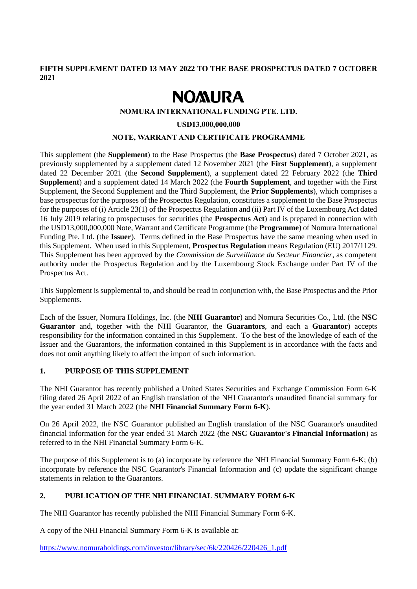**FIFTH SUPPLEMENT DATED 13 MAY 2022 TO THE BASE PROSPECTUS DATED 7 OCTOBER 2021**

# **NOMURA**

#### **NOMURA INTERNATIONAL FUNDING PTE. LTD.**

#### **USD13,000,000,000**

#### **NOTE, WARRANT AND CERTIFICATE PROGRAMME**

This supplement (the **Supplement**) to the Base Prospectus (the **Base Prospectus**) dated 7 October 2021, as previously supplemented by a supplement dated 12 November 2021 (the **First Supplement**), a supplement dated 22 December 2021 (the **Second Supplement**), a supplement dated 22 February 2022 (the **Third Supplement**) and a supplement dated 14 March 2022 (the **Fourth Supplement**, and together with the First Supplement, the Second Supplement and the Third Supplement, the **Prior Supplements**), which comprises a base prospectus for the purposes of the Prospectus Regulation, constitutes a supplement to the Base Prospectus for the purposes of (i) Article 23(1) of the Prospectus Regulation and (ii) Part IV of the Luxembourg Act dated 16 July 2019 relating to prospectuses for securities (the **Prospectus Act**) and is prepared in connection with the USD13,000,000,000 Note, Warrant and Certificate Programme (the **Programme**) of Nomura International Funding Pte. Ltd. (the **Issuer**). Terms defined in the Base Prospectus have the same meaning when used in this Supplement. When used in this Supplement, **Prospectus Regulation** means Regulation (EU) 2017/1129. This Supplement has been approved by the *Commission de Surveillance du Secteur Financier*, as competent authority under the Prospectus Regulation and by the Luxembourg Stock Exchange under Part IV of the Prospectus Act.

This Supplement is supplemental to, and should be read in conjunction with, the Base Prospectus and the Prior Supplements.

Each of the Issuer, Nomura Holdings, Inc. (the **NHI Guarantor**) and Nomura Securities Co., Ltd. (the **NSC Guarantor** and, together with the NHI Guarantor, the **Guarantors**, and each a **Guarantor**) accepts responsibility for the information contained in this Supplement. To the best of the knowledge of each of the Issuer and the Guarantors, the information contained in this Supplement is in accordance with the facts and does not omit anything likely to affect the import of such information.

## **1. PURPOSE OF THIS SUPPLEMENT**

The NHI Guarantor has recently published a United States Securities and Exchange Commission Form 6-K filing dated 26 April 2022 of an English translation of the NHI Guarantor's unaudited financial summary for the year ended 31 March 2022 (the **NHI Financial Summary Form 6-K**).

On 26 April 2022, the NSC Guarantor published an English translation of the NSC Guarantor's unaudited financial information for the year ended 31 March 2022 (the **NSC Guarantor's Financial Information**) as referred to in the NHI Financial Summary Form 6-K.

The purpose of this Supplement is to (a) incorporate by reference the NHI Financial Summary Form 6-K; (b) incorporate by reference the NSC Guarantor's Financial Information and (c) update the significant change statements in relation to the Guarantors.

#### **2. PUBLICATION OF THE NHI FINANCIAL SUMMARY FORM 6-K**

The NHI Guarantor has recently published the NHI Financial Summary Form 6-K.

A copy of the NHI Financial Summary Form 6-K is available at:

https://www.nomuraholdings.com/investor/library/sec/6k/220426/220426\_1.pdf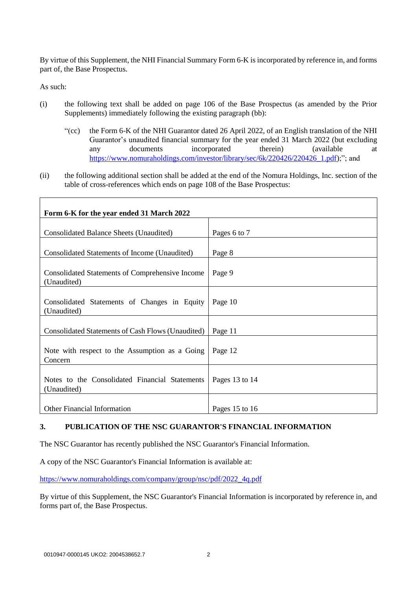By virtue of this Supplement, the NHI Financial Summary Form 6-K is incorporated by reference in, and forms part of, the Base Prospectus.

As such:

- (i) the following text shall be added on page 106 of the Base Prospectus (as amended by the Prior Supplements) immediately following the existing paragraph (bb):
	- "(cc) the Form 6-K of the NHI Guarantor dated 26 April 2022, of an English translation of the NHI Guarantor's unaudited financial summary for the year ended 31 March 2022 (but excluding any documents incorporated therein) (available at [https://www.nomuraholdings.com/investor/library/sec/6k/220426/220426\\_1.pdf\)](https://www.nomuraholdings.com/investor/library/sec/6k/220426/220426_1.pdf);"; and
- (ii) the following additional section shall be added at the end of the Nomura Holdings, Inc. section of the table of cross-references which ends on page 108 of the Base Prospectus:

| Form 6-K for the year ended 31 March 2022                      |                |
|----------------------------------------------------------------|----------------|
| Consolidated Balance Sheets (Unaudited)                        | Pages 6 to 7   |
| Consolidated Statements of Income (Unaudited)                  | Page 8         |
| Consolidated Statements of Comprehensive Income<br>(Unaudited) | Page 9         |
| Consolidated Statements of Changes in Equity<br>(Unaudited)    | Page 10        |
| Consolidated Statements of Cash Flows (Unaudited)              | Page 11        |
| Note with respect to the Assumption as a Going<br>Concern      | Page 12        |
| Notes to the Consolidated Financial Statements<br>(Unaudited)  | Pages 13 to 14 |
| <b>Other Financial Information</b>                             | Pages 15 to 16 |

## **3. PUBLICATION OF THE NSC GUARANTOR'S FINANCIAL INFORMATION**

The NSC Guarantor has recently published the NSC Guarantor's Financial Information.

A copy of the NSC Guarantor's Financial Information is available at:

[https://www.nomuraholdings.com/company/group/nsc/pdf/2022\\_4q.pdf](https://www.nomuraholdings.com/company/group/nsc/pdf/2022_4q.pdf)

By virtue of this Supplement, the NSC Guarantor's Financial Information is incorporated by reference in, and forms part of, the Base Prospectus.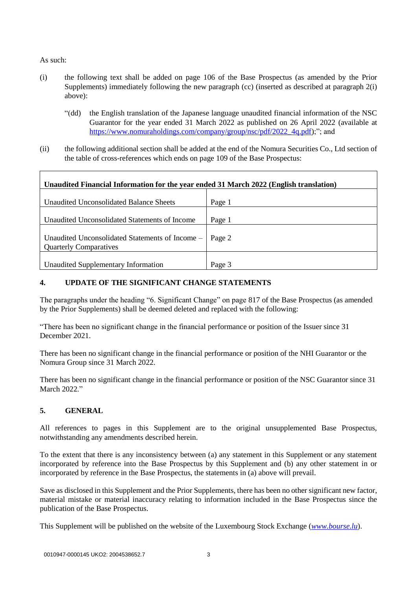As such:

- (i) the following text shall be added on page 106 of the Base Prospectus (as amended by the Prior Supplements) immediately following the new paragraph (cc) (inserted as described at paragraph 2(i) above):
	- "(dd) the English translation of the Japanese language unaudited financial information of the NSC Guarantor for the year ended 31 March 2022 as published on 26 April 2022 (available at [https://www.nomuraholdings.com/company/group/nsc/pdf/2022\\_4q.pdf\)](https://www.nomuraholdings.com/company/group/nsc/pdf/2022_4q.pdf);"; and
- (ii) the following additional section shall be added at the end of the Nomura Securities Co., Ltd section of the table of cross-references which ends on page 109 of the Base Prospectus:

| Unaudited Financial Information for the year ended 31 March 2022 (English translation) |        |
|----------------------------------------------------------------------------------------|--------|
| Unaudited Unconsolidated Balance Sheets                                                | Page 1 |
| Unaudited Unconsolidated Statements of Income                                          | Page 1 |
| Unaudited Unconsolidated Statements of Income -<br><b>Quarterly Comparatives</b>       | Page 2 |
| Unaudited Supplementary Information                                                    | Page 3 |

## **4. UPDATE OF THE SIGNIFICANT CHANGE STATEMENTS**

The paragraphs under the heading "6. Significant Change" on page 817 of the Base Prospectus (as amended by the Prior Supplements) shall be deemed deleted and replaced with the following:

"There has been no significant change in the financial performance or position of the Issuer since 31 December 2021.

There has been no significant change in the financial performance or position of the NHI Guarantor or the Nomura Group since 31 March 2022.

There has been no significant change in the financial performance or position of the NSC Guarantor since 31 March 2022."

## **5. GENERAL**

All references to pages in this Supplement are to the original unsupplemented Base Prospectus, notwithstanding any amendments described herein.

To the extent that there is any inconsistency between (a) any statement in this Supplement or any statement incorporated by reference into the Base Prospectus by this Supplement and (b) any other statement in or incorporated by reference in the Base Prospectus, the statements in (a) above will prevail.

Save as disclosed in this Supplement and the Prior Supplements, there has been no other significant new factor, material mistake or material inaccuracy relating to information included in the Base Prospectus since the publication of the Base Prospectus.

This Supplement will be published on the website of the Luxembourg Stock Exchange (*[www.bourse.lu](http://www.bourse.lu/)*).